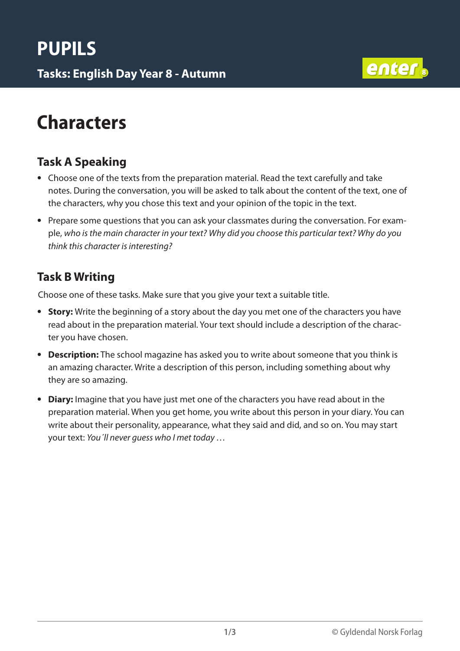**Tasks: English Day Year 8 - Autumn** <sup>8</sup>



### **Characters**

### **Task A Speaking**

- Choose one of the texts from the preparation material. Read the text carefully and take notes. During the conversation, you will be asked to talk about the content of the text, one of the characters, why you chose this text and your opinion of the topic in the text.
- Prepare some questions that you can ask your classmates during the conversation. For example, *who is the main character in your text? Why did you choose this particular text? Why do you think this character is interesting?*

#### **Task B Writing**

Choose one of these tasks. Make sure that you give your text a suitable title.

- **Story:** Write the beginning of a story about the day you met one of the characters you have read about in the preparation material. Your text should include a description of the character you have chosen.
- **Description:** The school magazine has asked you to write about someone that you think is an amazing character. Write a description of this person, including something about why they are so amazing.
- **Diary:** Imagine that you have just met one of the characters you have read about in the preparation material. When you get home, you write about this person in your diary. You can write about their personality, appearance, what they said and did, and so on. You may start your text: *You´ll never guess who I met today …*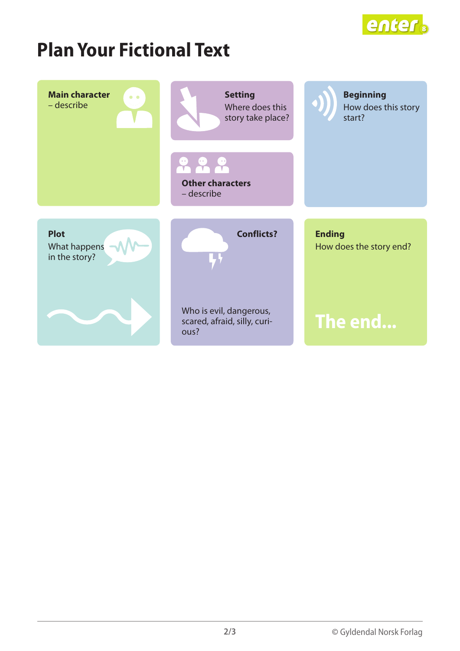

## **Plan Your Fictional Text**